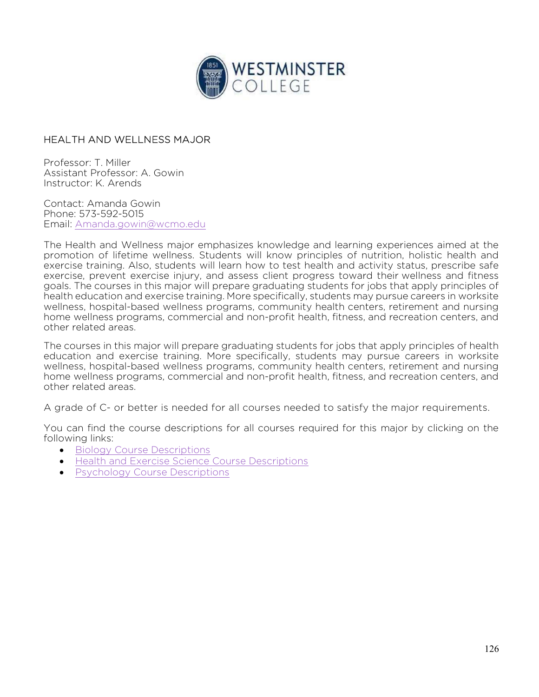

## HEALTH AND WELLNESS MAJOR

Professor: T. Miller Assistant Professor: A. Gowin Instructor: K. Arends

Contact: Amanda Gowin Phone: 573-592-5015 Email: Amanda.gowin@wcmo.edu

The Health and Wellness major emphasizes knowledge and learning experiences aimed at the promotion of lifetime wellness. Students will know principles of nutrition, holistic health and exercise training. Also, students will learn how to test health and activity status, prescribe safe exercise, prevent exercise injury, and assess client progress toward their wellness and fitness goals. The courses in this major will prepare graduating students for jobs that apply principles of health education and exercise training. More specifically, students may pursue careers in worksite wellness, hospital-based wellness programs, community health centers, retirement and nursing home wellness programs, commercial and non-profit health, fitness, and recreation centers, and other related areas.

The courses in this major will prepare graduating students for jobs that apply principles of health education and exercise training. More specifically, students may pursue careers in worksite wellness, hospital-based wellness programs, community health centers, retirement and nursing home wellness programs, commercial and non-profit health, fitness, and recreation centers, and other related areas.

A grade of C- or better is needed for all courses needed to satisfy the major requirements.

You can find the course descriptions for all courses required for this major by clicking on the following links:

- Biology Course Descriptions
- **Health and Exercise Science Course Descriptions**
- Psychology Course Descriptions